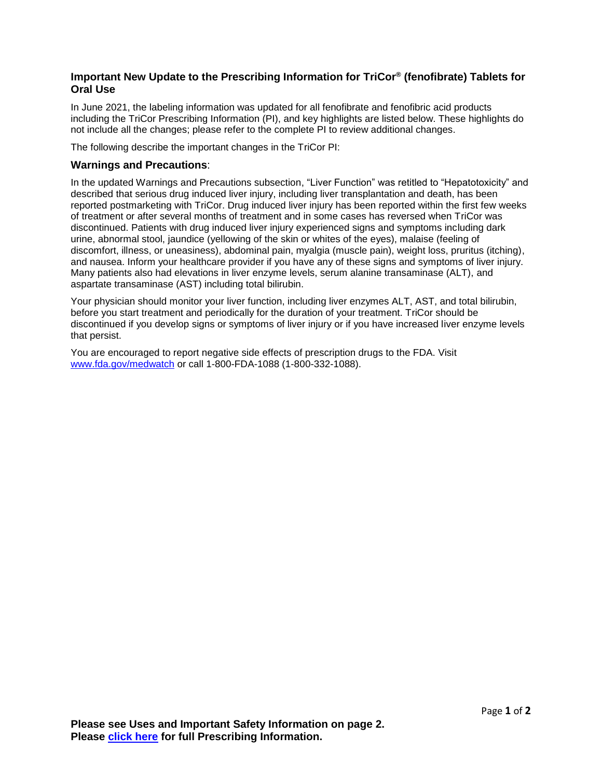## **Important New Update to the Prescribing Information for TriCor® (fenofibrate) Tablets for Oral Use**

In June 2021, the labeling information was updated for all fenofibrate and fenofibric acid products including the TriCor Prescribing Information (PI), and key highlights are listed below. These highlights do not include all the changes; please refer to the complete PI to review additional changes.

The following describe the important changes in the TriCor PI:

## **Warnings and Precautions**:

In the updated Warnings and Precautions subsection, "Liver Function" was retitled to "Hepatotoxicity" and described that serious drug induced liver injury, including liver transplantation and death, has been reported postmarketing with TriCor. Drug induced liver injury has been reported within the first few weeks of treatment or after several months of treatment and in some cases has reversed when TriCor was discontinued. Patients with drug induced liver injury experienced signs and symptoms including dark urine, abnormal stool, jaundice (yellowing of the skin or whites of the eyes), malaise (feeling of discomfort, illness, or uneasiness), abdominal pain, myalgia (muscle pain), weight loss, pruritus (itching), and nausea. Inform your healthcare provider if you have any of these signs and symptoms of liver injury. Many patients also had elevations in liver enzyme levels, serum alanine transaminase (ALT), and aspartate transaminase (AST) including total bilirubin.

Your physician should monitor your liver function, including liver enzymes ALT, AST, and total bilirubin, before you start treatment and periodically for the duration of your treatment. TriCor should be discontinued if you develop signs or symptoms of liver injury or if you have increased liver enzyme levels that persist.

You are encouraged to report negative side effects of prescription drugs to the FDA. Visit [www.fda.gov/medwatch](http://www.fda.gov/medwatch) or call 1-800-FDA-1088 (1-800-332-1088).